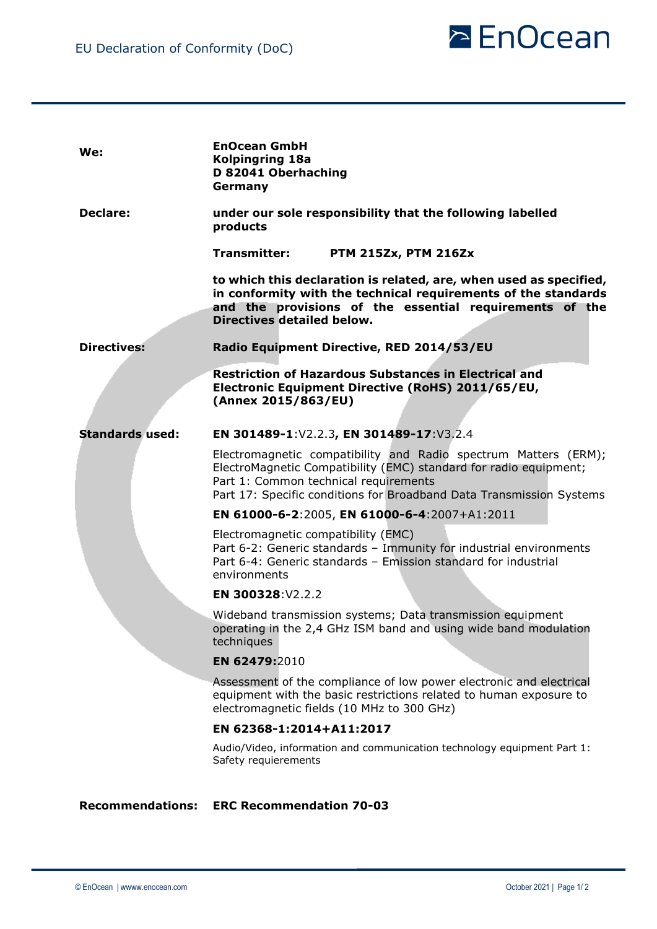

| We:                     | <b>EnOcean GmbH</b><br><b>Kolpingring 18a</b><br>D 82041 Oberhaching<br>Germany                                                                                                                                                                       |
|-------------------------|-------------------------------------------------------------------------------------------------------------------------------------------------------------------------------------------------------------------------------------------------------|
| <b>Declare:</b>         | under our sole responsibility that the following labelled<br>products                                                                                                                                                                                 |
|                         | Transmitter:<br><b>PTM 215Zx, PTM 216Zx</b>                                                                                                                                                                                                           |
|                         | to which this declaration is related, are, when used as specified,<br>in conformity with the technical requirements of the standards<br>and the provisions of the essential requirements of the<br><b>Directives detailed below.</b>                  |
| <b>Directives:</b>      | Radio Equipment Directive, RED 2014/53/EU                                                                                                                                                                                                             |
|                         | <b>Restriction of Hazardous Substances in Electrical and</b><br>Electronic Equipment Directive (RoHS) 2011/65/EU,<br>(Annex 2015/863/EU)                                                                                                              |
| <b>Standards used:</b>  | EN 301489-1:V2.2.3, EN 301489-17:V3.2.4                                                                                                                                                                                                               |
|                         | Electromagnetic compatibility and Radio spectrum Matters (ERM);<br>ElectroMagnetic Compatibility (EMC) standard for radio equipment;<br>Part 1: Common technical requirements<br>Part 17: Specific conditions for Broadband Data Transmission Systems |
|                         | EN 61000-6-2:2005, EN 61000-6-4:2007+A1:2011                                                                                                                                                                                                          |
|                         | Electromagnetic compatibility (EMC)<br>Part 6-2: Generic standards - Immunity for industrial environments<br>Part 6-4: Generic standards - Emission standard for industrial<br>environments                                                           |
|                         | EN 300328:V2.2.2                                                                                                                                                                                                                                      |
|                         | Wideband transmission systems; Data transmission equipment<br>operating in the 2,4 GHz ISM band and using wide band modulation<br>techniques                                                                                                          |
|                         | EN 62479:2010                                                                                                                                                                                                                                         |
|                         | Assessment of the compliance of low power electronic and electrical<br>equipment with the basic restrictions related to human exposure to<br>electromagnetic fields (10 MHz to 300 GHz)                                                               |
|                         | EN 62368-1:2014+A11:2017                                                                                                                                                                                                                              |
|                         | Audio/Video, information and communication technology equipment Part 1:<br>Safety requierements                                                                                                                                                       |
| <b>Recommendations:</b> | <b>ERC Recommendation 70-03</b>                                                                                                                                                                                                                       |